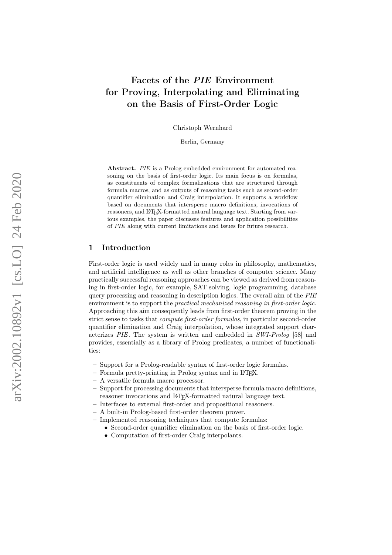# Facets of the PIE Environment for Proving, Interpolating and Eliminating on the Basis of First-Order Logic

Christoph Wernhard

Berlin, Germany

Abstract. PIE is a Prolog-embedded environment for automated reasoning on the basis of first-order logic. Its main focus is on formulas, as constituents of complex formalizations that are structured through formula macros, and as outputs of reasoning tasks such as second-order quantifier elimination and Craig interpolation. It supports a workflow based on documents that intersperse macro definitions, invocations of reasoners, and LATEX-formatted natural language text. Starting from various examples, the paper discusses features and application possibilities of PIE along with current limitations and issues for future research.

### 1 Introduction

First-order logic is used widely and in many roles in philosophy, mathematics, and artificial intelligence as well as other branches of computer science. Many practically successful reasoning approaches can be viewed as derived from reasoning in first-order logic, for example, SAT solving, logic programming, database query processing and reasoning in description logics. The overall aim of the PIE environment is to support the *practical mechanized reasoning in first-order logic*. Approaching this aim consequently leads from first-order theorem proving in the strict sense to tasks that compute first-order formulas, in particular second-order quantifier elimination and Craig interpolation, whose integrated support characterizes PIE. The system is written and embedded in SWI-Prolog [\[58\]](#page-17-0) and provides, essentially as a library of Prolog predicates, a number of functionalities:

- Support for a Prolog-readable syntax of first-order logic formulas.
- $-$  Formula pretty-printing in Prolog syntax and in IATEX.  $-$  A versatile formula macro processor.
- 
- Support for processing documents that intersperse formula macro definitions, reasoner invocations and LAT<sub>EX</sub>-formatted natural language text.
- Interfaces to external first-order and propositional reasoners.
- A built-in Prolog-based first-order theorem prover.
- Implemented reasoning techniques that compute formulas:
	- Second-order quantifier elimination on the basis of first-order logic.
	- Computation of first-order Craig interpolants.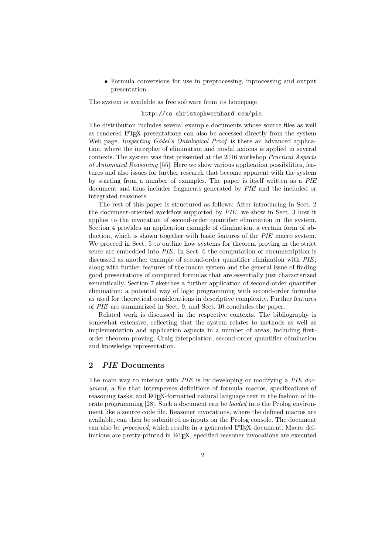• Formula conversions for use in preprocessing, inprocessing and output presentation.

The system is available as free software from its homepage

#### <http://cs.christophwernhard.com/pie>.

The distribution includes several example documents whose source files as well as rendered LATEX presentations can also be accessed directly from the system Web page. *Inspecting Gödel's Ontological Proof* is there an advanced application, where the interplay of elimination and modal axioms is applied in several contexts. The system was first presented at the 2016 workshop Practical Aspects of Automated Reasoning [\[55\]](#page-17-1). Here we show various application possibilities, features and also issues for further research that become apparent with the system by starting from a number of examples. The paper is itself written as a PIE document and thus includes fragments generated by PIE and the included or integrated reasoners.

The rest of this paper is structured as follows: After introducing in Sect. [2](#page-1-0) the document-oriented workflow supported by PIE, we show in Sect. [3](#page-2-0) how it applies to the invocation of second-order quantifier elimination in the system. Section [4](#page-4-0) provides an application example of elimination, a certain form of abduction, which is shown together with basic features of the PIE macro system. We proceed in Sect. [5](#page-5-0) to outline how systems for theorem proving in the strict sense are embedded into PIE. In Sect. [6](#page-6-0) the computation of circumscription is discussed as another example of second-order quantifier elimination with PIE, along with further features of the macro system and the general issue of finding good presentations of computed formulas that are essentially just characterized semantically. Section [7](#page-8-0) sketches a further application of second-order quantifier elimination: a potential way of logic programming with second-order formulas as used for theoretical considerations in descriptive complexity. Further features of PIE are summarized in Sect. [9,](#page-12-0) and Sect. [10](#page-14-0) concludes the paper.

Related work is discussed in the respective contexts. The bibliography is somewhat extensive, reflecting that the system relates to methods as well as implementation and application aspects in a number of areas, including firstorder theorem proving, Craig interpolation, second-order quantifier elimination and knowledge representation.

### <span id="page-1-0"></span>2 PIE Documents

The main way to interact with PIE is by developing or modifying a PIE document, a file that intersperses definitions of formula macros, specifications of reasoning tasks, and LAT<sub>F</sub>X-formatted natural language text in the fashion of literate programming [\[28\]](#page-16-0). Such a document can be loaded into the Prolog environment like a source code file. Reasoner invocations, where the defined macros are available, can then be submitted as inputs on the Prolog console. The document can also be *processed*, which results in a generated L<sup>AT</sup>EX document: Macro definitions are pretty-printed in LAT<sub>EX</sub>, specified reasoner invocations are executed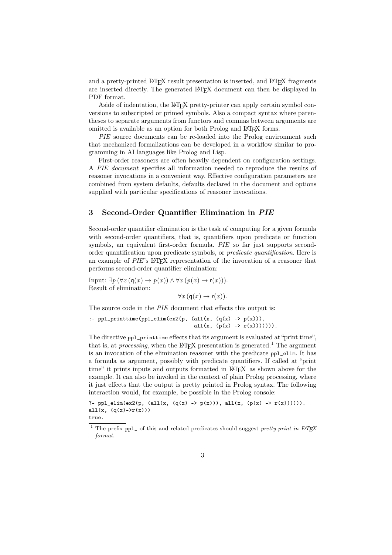and a pretty-printed LAT<sub>EX</sub> result presentation is inserted, and LAT<sub>EX</sub> fragments are inserted directly. The generated LAT<sub>E</sub>X document can then be displayed in PDF format.

Aside of indentation, the LAT<sub>EX</sub> pretty-printer can apply certain symbol conversions to subscripted or primed symbols. Also a compact syntax where parentheses to separate arguments from functors and commas between arguments are omitted is available as an option for both Prolog and L<sup>AT</sup>EX forms.

PIE source documents can be re-loaded into the Prolog environment such that mechanized formalizations can be developed in a workflow similar to programming in AI languages like Prolog and Lisp.

First-order reasoners are often heavily dependent on configuration settings. A PIE document specifies all information needed to reproduce the results of reasoner invocations in a convenient way. Effective configuration parameters are combined from system defaults, defaults declared in the document and options supplied with particular specifications of reasoner invocations.

### <span id="page-2-0"></span>3 Second-Order Quantifier Elimination in PIE

Second-order quantifier elimination is the task of computing for a given formula with second-order quantifiers, that is, quantifiers upon predicate or function symbols, an equivalent first-order formula. PIE so far just supports secondorder quantification upon predicate symbols, or *predicate quantification*. Here is an example of  $PIE$ 's LAT<sub>EX</sub> representation of the invocation of a reasoner that performs second-order quantifier elimination:

Input:  $\exists p \, (\forall x \, (\mathsf{q}(x) \to p(x)) \land \forall x \, (p(x) \to r(x))).$ Result of elimination:

 $\forall x \, (\mathsf{q}(x) \to \mathsf{r}(x)).$ 

The source code in the PIE document that effects this output is:

:-  $ppl\_primitive(ppl\_elim(ex2(p, (all(x, (q(x) -> p(x))))$ , all(x,  $(p(x) \rightarrow r(x)))))$ )).

The directive ppl\_printtime effects that its argument is evaluated at "print time", that is, at *processing*, when the LAT<sub>E</sub>X presentation is generated.<sup>[1](#page-2-1)</sup> The argument is an invocation of the elimination reasoner with the predicate ppl\_elim. It has a formula as argument, possibly with predicate quantifiers. If called at "print time" it prints inputs and outputs formatted in LATEX as shown above for the example. It can also be invoked in the context of plain Prolog processing, where it just effects that the output is pretty printed in Prolog syntax. The following interaction would, for example, be possible in the Prolog console:

<sup>?-</sup> ppl\_elim(ex2(p, (all(x, (q(x) -> p(x))), all(x, (p(x) -> r(x)))))). all(x,  $(q(x)-r(x))$ )

true.

<span id="page-2-1"></span> $^1$  The prefix ppl\_ of this and related predicates should suggest  $\textit{pretty-print}$  in  $\emph{BTEX}$ format.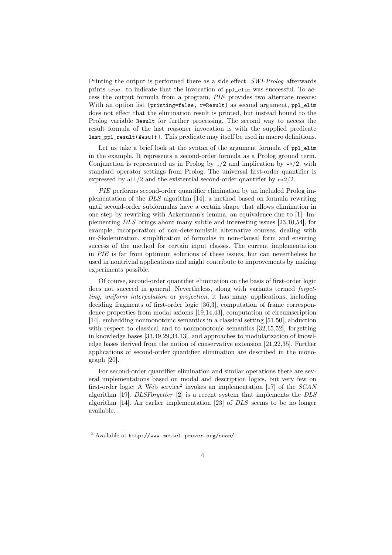Printing the output is performed there as a side effect. SWI-Prolog afterwards prints true. to indicate that the invocation of ppl\_elim was successful. To access the output formula from a program, PIE provides two alternate means: With an option list [printing=false, r=Result] as second argument, ppl\_elim does not effect that the elimination result is printed, but instead bound to the Prolog variable Result for further processing. The second way to access the result formula of the last reasoner invocation is with the supplied predicate  $last\_pp1\_result(Result)$ . This predicate may itself be used in macro definitions.

Let us take a brief look at the syntax of the argument formula of  $ppl$ -elim in the example. It represents a second-order formula as a Prolog ground term. Conjunction is represented as in Prolog by  $\sqrt{2}$  and implication by  $\sqrt{2}$ , with standard operator settings from Prolog. The universal first-order quantifier is expressed by  $a11/2$  and the existential second-order quantifier by  $ex2/2$ .

PIE performs second-order quantifier elimination by an included Prolog implementation of the DLS algorithm [\[14\]](#page-15-0), a method based on formula rewriting until second-order subformulas have a certain shape that allows elimination in one step by rewriting with Ackermann's lemma, an equivalence due to [\[1\]](#page-15-1). Implementing DLS brings about many subtle and interesting issues [\[23,](#page-16-1)[10,](#page-15-2)[54\]](#page-17-2), for example, incorporation of non-deterministic alternative courses, dealing with un-Skolemization, simplification of formulas in non-clausal form and ensuring success of the method for certain input classes. The current implementation in PIE is far from optimum solutions of these issues, but can nevertheless be used in nontrivial applications and might contribute to improvements by making experiments possible.

Of course, second-order quantifier elimination on the basis of first-order logic does not succeed in general. Nevertheless, along with variants termed forgetting, uniform interpolation or projection, it has many applications, including deciding fragments of first-order logic [\[36,](#page-16-2)[3\]](#page-15-3), computation of frame correspondence properties from modal axioms [\[19,](#page-15-4)[14,](#page-15-0)[43\]](#page-16-3), computation of circumscription [\[14\]](#page-15-0), embedding nonmonotonic semantics in a classical setting [\[51,](#page-17-3)[50\]](#page-17-4), abduction with respect to classical and to nonmonotonic semantics [\[32,](#page-16-4)[15,](#page-15-5)[52\]](#page-17-5), forgetting in knowledge bases [\[33,](#page-16-5)[49,](#page-17-6)[29](#page-16-6)[,34,](#page-16-7)[13\]](#page-15-6), and approaches to modularization of knowledge bases derived from the notion of conservative extension [\[21,](#page-15-7)[22,](#page-16-8)[35\]](#page-16-9). Further applications of second-order quantifier elimination are described in the monograph [\[20\]](#page-15-8).

For second-order quantifier elimination and similar operations there are several implementations based on modal and description logics, but very few on first-order logic: A Web service<sup>[2](#page-3-0)</sup> invokes an implementation [\[17\]](#page-15-9) of the  $SCAN$ algorithm [\[19\]](#page-15-4). DLSForgetter [\[2\]](#page-15-10) is a recent system that implements the DLS algorithm [\[14\]](#page-15-0). An earlier implementation [\[23\]](#page-16-1) of DLS seems to be no longer available.

<span id="page-3-0"></span><sup>2</sup> Available at <http://www.mettel-prover.org/scan/>.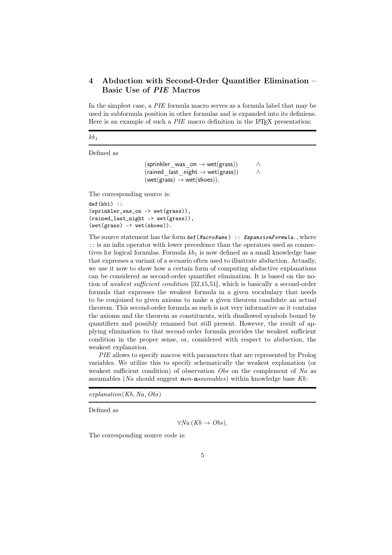### <span id="page-4-0"></span>4 Abduction with Second-Order Quantifier Elimination – Basic Use of PIE Macros

In the simplest case, a PIE formula macro serves as a formula label that may be used in subformula position in other formulas and is expanded into its definiens. Here is an example of such a  $PIE$  macro definition in the  $EFT$ <sub>EX</sub> presentation:

 $kb_1$ 

Defined as

```
(sprinkler was on \rightarrow wet(grass)) \land(rained last night \rightarrow wet(grass)) ∧
(wet(grass) \rightarrow wet(shoes)).
```
The corresponding source is:

```
def(kb1) ::
(sprinkler_was_on -> wet(grass)),
(rained_last_night -> wet(grass)),
(wet(grass) \rightarrow wet(shoes)).
```
The source statement has the form  $def(Macrolame)$  :: ExpansionFormula., where :: is an infix operator with lower precedence than the operators used as connectives for logical formulas. Formula  $kb_1$  is now defined as a small knowledge base that expresses a variant of a scenario often used to illustrate abduction. Actually, we use it now to show how a certain form of computing abductive explanations can be considered as second-order quantifier elimination. It is based on the notion of weakest sufficient condition [\[32,](#page-16-4)[15](#page-15-5)[,51\]](#page-17-3), which is basically a second-order formula that expresses the weakest formula in a given vocabulary that needs to be conjoined to given axioms to make a given theorem candidate an actual theorem. This second-order formula as such is not very informative as it contains the axioms and the theorem as constituents, with disallowed symbols bound by quantifiers and possibly renamed but still present. However, the result of applying elimination to that second-order formula provides the weakest sufficient condition in the proper sense, or, considered with respect to abduction, the weakest explanation.

PIE allows to specify macros with parameters that are represented by Prolog variables. We utilize this to specify schematically the weakest explanation (or weakest sufficient condition) of observation  $Obs$  on the complement of  $Na$  as assumables (Na should suggest non-assumables) within knowledge base  $Kb$ :

explanation(Kb, Na, Obs)

Defined as

$$
\forall Na\ (Kb \rightarrow Obs).
$$

The corresponding source code is: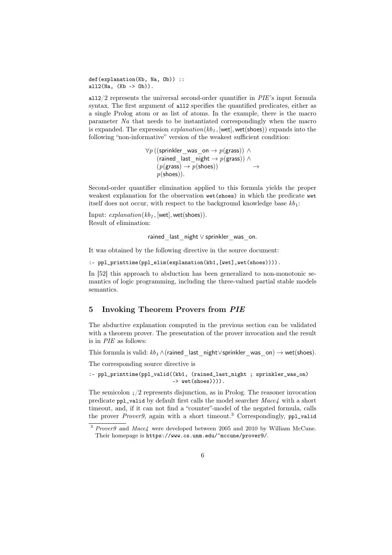def(explanation(Kb, Na, Ob)) :: all2(Na, (Kb -> Ob)).

all2/2 represents the universal second-order quantifier in PIE's input formula syntax. The first argument of all2 specifies the quantified predicates, either as a single Prolog atom or as list of atoms. In the example, there is the macro parameter  $Na$  that needs to be instantiated correspondingly when the macro is expanded. The expression  $explanation(kb<sub>1</sub>, [wet], wet(shoes))$  expands into the following "non-informative" version of the weakest sufficient condition:

> $∀p ((sprinkler was on → p(grass)) ∧$ (rained last night  $\rightarrow p$ (grass)) ∧  $(p(\text{grass}) \rightarrow p(\text{shoes}))$  $p(\text{shoes})$ ).

Second-order quantifier elimination applied to this formula yields the proper weakest explanation for the observation wet(shoes) in which the predicate wet itself does not occur, with respect to the background knowledge base  $kb_1$ :

Input:  $explanation(kb<sub>1</sub>, [wet], wet(shoes)).$ Result of elimination:

rained last night ∨ sprinkler was on.

It was obtained by the following directive in the source document:

```
:- ppl_printtime(ppl_elim(explanation(kb1,[wet],wet(shoes)))).
```
In [\[52\]](#page-17-5) this approach to abduction has been generalized to non-monotonic semantics of logic programming, including the three-valued partial stable models semantics.

### <span id="page-5-0"></span>5 Invoking Theorem Provers from PIE

The abductive explanation computed in the previous section can be validated with a theorem prover. The presentation of the prover invocation and the result is in PIE as follows:

This formula is valid:  $kb_1 \wedge$ (rained last\_night∨sprinkler\_was\_on)  $\rightarrow$  wet(shoes).

The corresponding source directive is

:- ppl\_printtime(ppl\_valid((kb1, (rained\_last\_night ; sprinkler\_was\_on)  $\rightarrow$  wet(shoes)))).

The semicolon ;/2 represents disjunction, as in Prolog. The reasoner invocation predicate ppl\_valid by default first calls the model searcher Mace4 with a short timeout, and, if it can not find a "counter"-model of the negated formula, calls the prover *Prover9*, again with a short timeout.<sup>[3](#page-5-1)</sup> Correspondingly,  $ppl$ -valid

<span id="page-5-1"></span><sup>&</sup>lt;sup>3</sup> Prover9 and Mace4 were developed between 2005 and 2010 by William McCune. Their homepage is <https://www.cs.unm.edu/~mccune/prover9/>.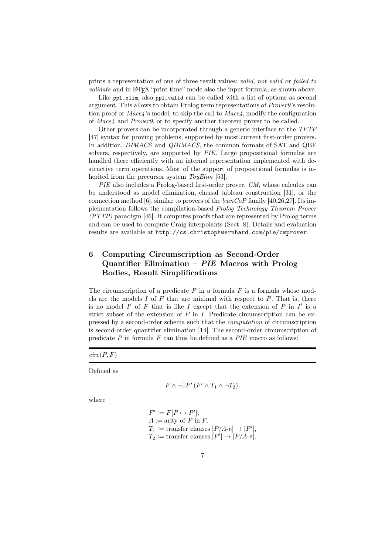prints a representation of one of three result values: valid, not valid or failed to validate and in LAT<sub>E</sub>X "print time" mode also the input formula, as shown above.

Like ppl\_elim, also ppl\_valid can be called with a list of options as second argument. This allows to obtain Prolog term representations of Prover9 's resolution proof or Mace4 's model, to skip the call to Mace4, modify the configuration of Mace4 and Prover9, or to specify another theorem prover to be called.

Other provers can be incorporated through a generic interface to the TPTP [\[47\]](#page-17-7) syntax for proving problems, supported by most current first-order provers. In addition, *DIMACS* and *QDIMACS*, the common formats of SAT and *QBF* solvers, respectively, are supported by *PIE*. Large propositional formulas are handled there efficiently with an internal representation implemented with destructive term operations. Most of the support of propositional formulas is in-herited from the precursor system ToyElim [\[53\]](#page-17-8).

PIE also includes a Prolog-based first-order prover, CM, whose calculus can be understood as model elimination, clausal tableau construction [\[31\]](#page-16-10), or the connection method [\[6\]](#page-15-11), similar to provers of the  $leanCoP$  family [\[40](#page-16-11)[,26,](#page-16-12)[27\]](#page-16-13). Its implementation follows the compilation-based Prolog Technology Theorem Prover  $(PTTP)$  paradigm [\[46\]](#page-16-14). It computes proofs that are represented by Prolog terms and can be used to compute Craig interpolants (Sect. [8\)](#page-10-0). Details and evaluation results are available at <http://cs.christophwernhard.com/pie/cmprover>.

## <span id="page-6-0"></span>6 Computing Circumscription as Second-Order Quantifier Elimination – PIE Macros with Prolog Bodies, Result Simplifications

The circumscription of a predicate  $P$  in a formula  $F$  is a formula whose models are the models  $I$  of  $F$  that are minimal with respect to  $P$ . That is, there is no model  $I'$  of  $F$  that is like  $I$  except that the extension of  $P$  in  $I'$  is a strict subset of the extension of  $P$  in  $I$ . Predicate circumscription can be expressed by a second-order schema such that the computation of circumscription is second-order quantifier elimination [\[14\]](#page-15-0). The second-order circumscription of predicate  $P$  in formula  $F$  can thus be defined as a  $PIE$  macro as follows:

 $circ(P, F)$ 

Defined as

$$
F \wedge \neg \exists P' (F' \wedge T_1 \wedge \neg T_2),
$$

where

$$
F' := F[P \mapsto P'],
$$
  
\n
$$
A := \text{arity of } P \text{ in } F,
$$
  
\n
$$
T_1 := \text{transfer clauses } [P/A\text{-}n] \to [P'],
$$
  
\n
$$
T_2 := \text{transfer clauses } [P'] \to [P/A\text{-}n].
$$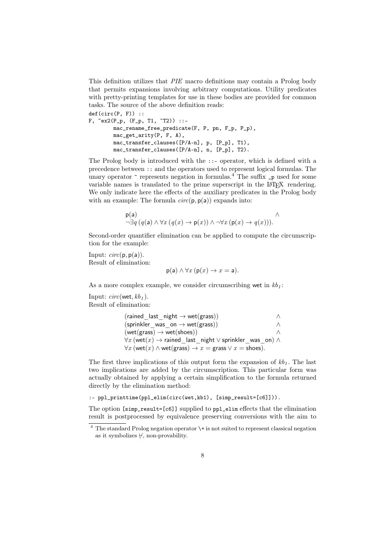This definition utilizes that PIE macro definitions may contain a Prolog body that permits expansions involving arbitrary computations. Utility predicates with pretty-printing templates for use in these bodies are provided for common tasks. The source of the above definition reads:

```
def(circ(P, F)) ::F, \text{ }^{\sim}ex2(P_p, (F_p, T1, ^{\sim}T2)) ::-
        mac_rename_free_predicate(F, P, pn, F_p, P_p),
        mac_get_arity(P, F, A),
        mac_transfer_clauses([P/A-n], p, [P_p], T1),
        mac_transfer_clauses([P/A-n], n, [P_p], T2).
```
The Prolog body is introduced with the ::- operator, which is defined with a precedence between :: and the operators used to represent logical formulas. The unary operator  $\tilde{ }$  represents negation in formulas.<sup>[4](#page-7-0)</sup> The suffix  $\Box p$  used for some variable names is translated to the prime superscript in the L<sup>A</sup>T<sub>EX</sub> rendering. We only indicate here the effects of the auxiliary predicates in the Prolog body with an example: The formula  $circ(\mathbf{p}, \mathbf{p}(\mathbf{a}))$  expands into:

$$
\mathsf{p}(\mathsf{a}) \qquad \qquad \wedge
$$
  
\n
$$
\neg \exists q \left( q(\mathsf{a}) \land \forall x \left( q(x) \to \mathsf{p}(x) \right) \land \neg \forall x \left( \mathsf{p}(x) \to q(x) \right) \right).
$$

Second-order quantifier elimination can be applied to compute the circumscription for the example:

Input:  $circ(p, p(a))$ . Result of elimination:  $p(a) \land \forall x (p(x) \rightarrow x = a).$ 

As a more complex example, we consider circumscribing wet in  $kb_1$ :

Input:  $circ(wet, kb<sub>1</sub>)$ . Result of elimination:

| $(rained$ last night $\rightarrow$ wet(grass))                                                   |  |
|--------------------------------------------------------------------------------------------------|--|
| (sprinkler was on $\rightarrow$ wet(grass))                                                      |  |
| $(wet(grass) \rightarrow wet(shoes))$                                                            |  |
| $\forall x$ (wet(x) $\rightarrow$ rained last night $\vee$ sprinkler was on) $\wedge$            |  |
| $\forall x (\text{wet}(x) \land \text{wet}(grass) \rightarrow x = grass \lor x = \text{shoes}).$ |  |

The first three implications of this output form the expansion of  $kb_1$ . The last two implications are added by the circumscription. This particular form was actually obtained by applying a certain simplification to the formula returned directly by the elimination method:

:- ppl\_printtime(ppl\_elim(circ(wet,kb1), [simp\_result=[c6]])).

The option [simp\_result=[c6]] supplied to ppl\_elim effects that the elimination result is postprocessed by equivalence preserving conversions with the aim to

<span id="page-7-0"></span> $4$  The standard Prolog negation operator  $\setminus +$  is not suited to represent classical negation as it symbolizes  $\nvdash$ , non-provability.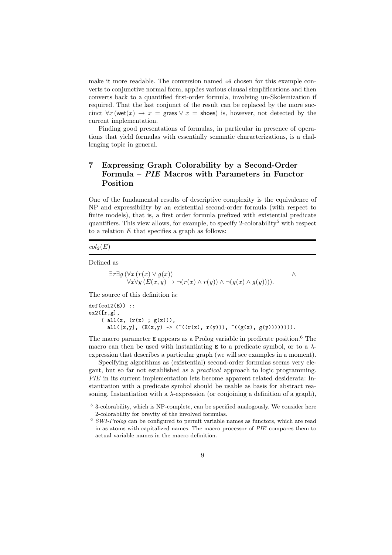make it more readable. The conversion named c6 chosen for this example converts to conjunctive normal form, applies various clausal simplifications and then converts back to a quantified first-order formula, involving un-Skolemization if required. That the last conjunct of the result can be replaced by the more succinct  $\forall x$  (wet $(x) \rightarrow x =$  grass  $\lor x =$  shoes) is, however, not detected by the current implementation.

Finding good presentations of formulas, in particular in presence of operations that yield formulas with essentially semantic characterizations, is a challenging topic in general.

# <span id="page-8-0"></span>7 Expressing Graph Colorability by a Second-Order Formula – PIE Macros with Parameters in Functor Position

One of the fundamental results of descriptive complexity is the equivalence of NP and expressibility by an existential second-order formula (with respect to finite models), that is, a first order formula prefixed with existential predicate quantifiers. This view allows, for example, to specify 2-colorability<sup>[5](#page-8-1)</sup> with respect to a relation  $E$  that specifies a graph as follows:

#### $col_{2}(E)$

Defined as

$$
\exists r \exists g \left( \forall x \left( r(x) \vee g(x) \right) \land \forall x \forall y \left( E(x, y) \rightarrow \neg (r(x) \wedge r(y)) \wedge \neg (g(x) \wedge g(y)) \right) \right).
$$

The source of this definition is:

 $def(col2(E))$  ::  $ex2([r,g],$  $(\text{all}(x, (r(x) ; g(x))),$ all([x,y], (E(x,y) -> (~((r(x), r(y))), ~((g(x), g(y)))))))).

The macro parameter **E** appears as a Prolog variable in predicate position.<sup>[6](#page-8-2)</sup> The macro can then be used with instantiating  $E$  to a predicate symbol, or to a  $\lambda$ expression that describes a particular graph (we will see examples in a moment).

Specifying algorithms as (existential) second-order formulas seems very elegant, but so far not established as a practical approach to logic programming. PIE in its current implementation lets become apparent related desiderata: Instantiation with a predicate symbol should be usable as basis for abstract reasoning. Instantiation with a  $\lambda$ -expression (or conjoining a definition of a graph),

<span id="page-8-1"></span><sup>&</sup>lt;sup>5</sup> 3-colorability, which is NP-complete, can be specified analogously. We consider here 2-colorability for brevity of the involved formulas.

<span id="page-8-2"></span> $6$  SWI-Prolog can be configured to permit variable names as functors, which are read in as atoms with capitalized names. The macro processor of PIE compares them to actual variable names in the macro definition.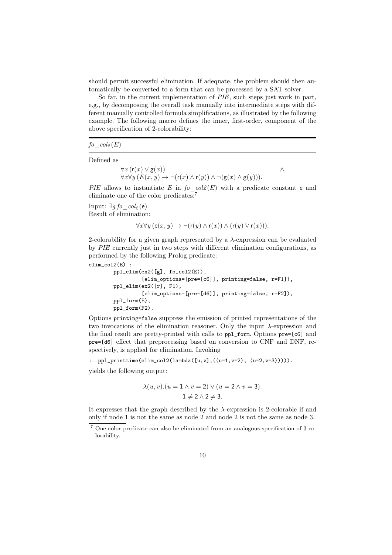should permit successful elimination. If adequate, the problem should then automatically be converted to a form that can be processed by a SAT solver.

So far, in the current implementation of PIE, such steps just work in part, e.g., by decomposing the overall task manually into intermediate steps with different manually controlled formula simplifications, as illustrated by the following example. The following macro defines the inner, first-order, component of the above specification of 2-colorability:

 $fo\_{col_2 (E)}$ 

Defined as

 $\forall x (\mathsf{r}(x) \vee \mathsf{g}(x))$  ∧  $\forall x \forall y \ (E(x, y) \rightarrow \neg(r(x) \land r(y)) \land \neg(g(x) \land g(y))).$ 

PIE allows to instantiate E in  $fo$   $col2 (E)$  with a predicate constant e and eliminate one of the color predicates:<sup>[7](#page-9-0)</sup>

Input:  $\exists g \text{ fo } col_2 (e)$ . Result of elimination:

 $\forall x \forall y (\mathsf{e}(x, y) \rightarrow \neg(\mathsf{r}(y) \land \mathsf{r}(x)) \land (\mathsf{r}(y) \lor \mathsf{r}(x))).$ 

2-colorability for a given graph represented by a  $\lambda$ -expression can be evaluated by PIE currently just in two steps with different elimination configurations, as performed by the following Prolog predicate:

 $elim\_col2(E)$  :ppl\_elim(ex2([g], fo\_col2(E)), [elim\_options=[pre=[c6]], printing=false, r=F1]), ppl\_elim(ex2([r], F1), [elim\_options=[pre=[d6]], printing=false, r=F2]), ppl\_form(E), ppl\_form(F2).

Options printing=false suppress the emission of printed representations of the two invocations of the elimination reasoner. Only the input  $\lambda$ -expression and the final result are pretty-printed with calls to ppl\_form. Options pre=[c6] and pre=[d6] effect that preprocessing based on conversion to CNF and DNF, respectively, is applied for elimination. Invoking

:-  $ppl\_primitive(elim\_col2(lambda([u,v],((u=1,v=2); (u=2,v=3))))).$ 

yields the following output:

$$
\lambda(u, v). (u = 1 \land v = 2) \lor (u = 2 \land v = 3).
$$
  

$$
1 \neq 2 \land 2 \neq 3.
$$

It expresses that the graph described by the  $\lambda$ -expression is 2-colorable if and only if node 1 is not the same as node 2 and node 2 is not the same as node 3.

<span id="page-9-0"></span><sup>7</sup> One color predicate can also be eliminated from an analogous specification of 3-colorability.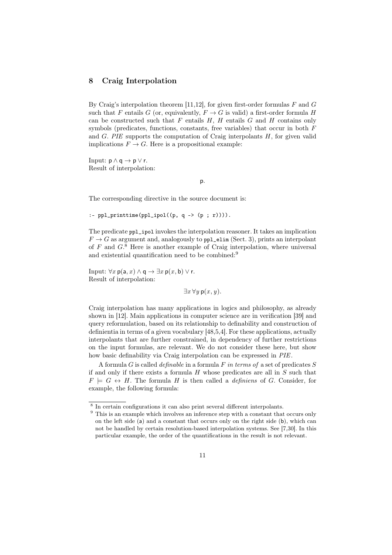### <span id="page-10-0"></span>8 Craig Interpolation

By Craig's interpolation theorem [\[11,](#page-15-12)[12\]](#page-15-13), for given first-order formulas  $F$  and  $G$ such that F entails G (or, equivalently,  $F \to G$  is valid) a first-order formula H can be constructed such that  $F$  entails  $H$ ,  $H$  entails  $G$  and  $H$  contains only symbols (predicates, functions, constants, free variables) that occur in both  $F$ and  $G$ . PIE supports the computation of Craig interpolants  $H$ , for given valid implications  $F \to G$ . Here is a propositional example:

Input:  $p \land q \rightarrow p \lor r$ . Result of interpolation:

p.

The corresponding directive in the source document is:

:-  $ppl\_primitive(ppl\_ipol((p, q ->(p ; r))))$ .

The predicate ppl\_ipol invokes the interpolation reasoner. It takes an implication  $F \to G$  as argument and, analogously to ppl\_elim (Sect. [3\)](#page-2-0), prints an interpolant of  $F$  and  $G$ <sup>[8](#page-10-1)</sup>. Here is another example of Craig interpolation, where universal and existential quantification need to be combined:[9](#page-10-2)

Input:  $\forall x \mathsf{p}(a, x) \land \mathsf{q} \rightarrow \exists x \mathsf{p}(x, \mathsf{b}) \lor \mathsf{r}.$ Result of interpolation:

 $\exists x \forall y \, p(x, y).$ 

Craig interpolation has many applications in logics and philosophy, as already shown in [\[12\]](#page-15-13). Main applications in computer science are in verification [\[39\]](#page-16-15) and query reformulation, based on its relationship to definability and construction of definientia in terms of a given vocabulary [\[48](#page-17-9)[,5,](#page-15-14)[4\]](#page-15-15). For these applications, actually interpolants that are further constrained, in dependency of further restrictions on the input formulas, are relevant. We do not consider these here, but show how basic definability via Craig interpolation can be expressed in PIE.

A formula G is called *definable* in a formula F in terms of a set of predicates  $S$ if and only if there exists a formula  $H$  whose predicates are all in  $S$  such that  $F \models G \leftrightarrow H$ . The formula H is then called a *definiens* of G. Consider, for example, the following formula:

<span id="page-10-1"></span><sup>8</sup> In certain configurations it can also print several different interpolants.

<span id="page-10-2"></span><sup>&</sup>lt;sup>9</sup> This is an example which involves an inference step with a constant that occurs only on the left side  $(a)$  and a constant that occurs only on the right side  $(b)$ , which can not be handled by certain resolution-based interpolation systems. See [\[7,](#page-15-16)[30\]](#page-16-16). In this particular example, the order of the quantifications in the result is not relevant.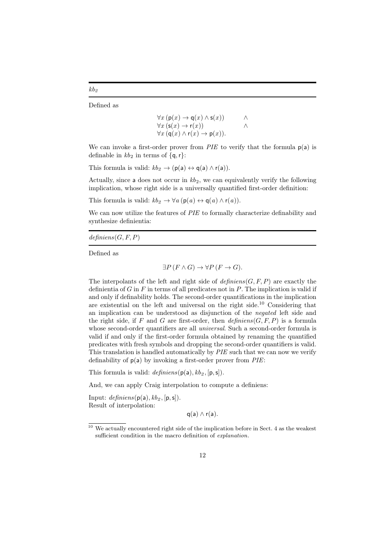Defined as

 $kb_2$ 

$$
\forall x (\mathsf{p}(x) \to \mathsf{q}(x) \land \mathsf{s}(x)) \land \forall x (\mathsf{s}(x) \to \mathsf{r}(x)) \land \forall x (\mathsf{q}(x) \land \mathsf{r}(x) \to \mathsf{p}(x)).
$$

We can invoke a first-order prover from  $PIE$  to verify that the formula  $p(a)$  is definable in  $kb_2$  in terms of  $\{q, r\}$ :

This formula is valid:  $kb_2 \rightarrow (p(a) \leftrightarrow q(a) \land r(a))$ .

Actually, since a does not occur in  $kb_2$ , we can equivalently verify the following implication, whose right side is a universally quantified first-order definition:

This formula is valid:  $kb_2 \rightarrow \forall a \, (\mathsf{p}(a) \leftrightarrow \mathsf{q}(a) \land \mathsf{r}(a)).$ 

We can now utilize the features of  $PIE$  to formally characterize definability and synthesize definientia:

 $definiens(G, F, P)$ 

Defined as

 $\exists P(F \wedge G) \rightarrow \forall P(F \rightarrow G).$ 

The interpolants of the left and right side of  $definiens(G, F, P)$  are exactly the definientia of  $G$  in  $F$  in terms of all predicates not in  $P$ . The implication is valid if and only if definability holds. The second-order quantifications in the implication are existential on the left and universal on the right side.[10](#page-11-0) Considering that an implication can be understood as disjunction of the negated left side and the right side, if F and G are first-order, then  $definiens(G, F, P)$  is a formula whose second-order quantifiers are all *universal*. Such a second-order formula is valid if and only if the first-order formula obtained by renaming the quantified predicates with fresh symbols and dropping the second-order quantifiers is valid. This translation is handled automatically by  $PIE$  such that we can now we verify definability of  $p(a)$  by invoking a first-order prover from  $PIE$ :

This formula is valid:  $definiens(\mathbf{p}(\mathbf{a}), kb_2, [\mathbf{p},\mathbf{s}]).$ 

And, we can apply Craig interpolation to compute a definiens:

Input:  $definiens(p(a), kb_2, [p,s])$ . Result of interpolation:

 $q(a) \wedge r(a)$ .

<span id="page-11-0"></span> $^{10}\,$  We actually encountered right side of the implication before in Sect. [4](#page-4-0) as the weakest sufficient condition in the macro definition of explanation.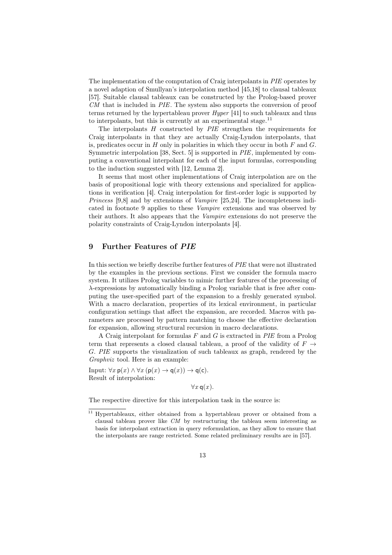The implementation of the computation of Craig interpolants in PIE operates by a novel adaption of Smullyan's interpolation method [\[45,](#page-16-17)[18\]](#page-15-17) to clausal tableaux [\[57\]](#page-17-10). Suitable clausal tableaux can be constructed by the Prolog-based prover CM that is included in PIE. The system also supports the conversion of proof terms returned by the hypertableau prover *Hyper* [\[41\]](#page-16-18) to such tableaux and thus to interpolants, but this is currently at an experimental stage. $^{11}$  $^{11}$  $^{11}$ 

The interpolants H constructed by PIE strengthen the requirements for Craig interpolants in that they are actually Craig-Lyndon interpolants, that is, predicates occur in  $H$  only in polarities in which they occur in both  $F$  and  $G$ . Symmetric interpolation [\[38,](#page-16-19) Sect. 5] is supported in PIE, implemented by computing a conventional interpolant for each of the input formulas, corresponding to the induction suggested with [\[12,](#page-15-13) Lemma 2].

It seems that most other implementations of Craig interpolation are on the basis of propositional logic with theory extensions and specialized for applications in verification [\[4\]](#page-15-15). Craig interpolation for first-order logic is supported by Princess [\[9,](#page-15-18)[8\]](#page-15-19) and by extensions of Vampire [\[25,](#page-16-20)[24\]](#page-16-21). The incompleteness indicated in footnote [9](#page-10-2) applies to these Vampire extensions and was observed by their authors. It also appears that the Vampire extensions do not preserve the polarity constraints of Craig-Lyndon interpolants [\[4\]](#page-15-15).

### <span id="page-12-0"></span>9 Further Features of PIE

In this section we briefly describe further features of PIE that were not illustrated by the examples in the previous sections. First we consider the formula macro system. It utilizes Prolog variables to mimic further features of the processing of λ-expressions by automatically binding a Prolog variable that is free after computing the user-specified part of the expansion to a freshly generated symbol. With a macro declaration, properties of its lexical environment, in particular configuration settings that affect the expansion, are recorded. Macros with parameters are processed by pattern matching to choose the effective declaration for expansion, allowing structural recursion in macro declarations.

A Craig interpolant for formulas  $F$  and  $G$  is extracted in  $PIE$  from a Prolog term that represents a closed clausal tableau, a proof of the validity of  $F \rightarrow$ G. PIE supports the visualization of such tableaux as graph, rendered by the Graphviz tool. Here is an example:

Input:  $\forall x \mathsf{p}(x) \land \forall x (\mathsf{p}(x) \to \mathsf{q}(x)) \to \mathsf{q}(\mathsf{c}).$ Result of interpolation:

 $\forall x \, \mathsf{q}(x)$ .

The respective directive for this interpolation task in the source is:

<span id="page-12-1"></span><sup>11</sup> Hypertableaux, either obtained from a hypertableau prover or obtained from a clausal tableau prover like CM by restructuring the tableau seem interesting as basis for interpolant extraction in query reformulation, as they allow to ensure that the interpolants are range restricted. Some related preliminary results are in [\[57\]](#page-17-10).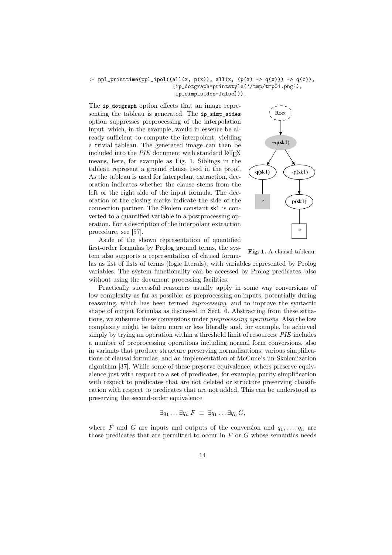#### :- ppl\_printtime(ppl\_ipol((all(x, p(x)), all(x, (p(x) -> q(x))) -> q(c)), [ip\_dotgraph=printstyle('/tmp/tmp01.png'), ip\_simp\_sides=false])).

The ip\_dotgraph option effects that an image representing the tableau is generated. The ip\_simp\_sides option suppresses preprocessing of the interpolation input, which, in the example, would in essence be already sufficient to compute the interpolant, yielding a trivial tableau. The generated image can then be included into the  $PIE$  document with standard  $IATFX$ means, here, for example as Fig. [1.](#page-13-0) Siblings in the tableau represent a ground clause used in the proof. As the tableau is used for interpolant extraction, decoration indicates whether the clause stems from the left or the right side of the input formula. The decoration of the closing marks indicate the side of the connection partner. The Skolem constant sk1 is converted to a quantified variable in a postprocessing operation. For a description of the interpolant extraction procedure, see [\[57\]](#page-17-10).



Aside of the shown representation of quantified first-order formulas by Prolog ground terms, the system also supports a representation of clausal formu-

<span id="page-13-0"></span>Fig. 1. A clausal tableau.

las as list of lists of terms (logic literals), with variables represented by Prolog variables. The system functionality can be accessed by Prolog predicates, also without using the document processing facilities.

Practically successful reasoners usually apply in some way conversions of low complexity as far as possible: as preprocessing on inputs, potentially during reasoning, which has been termed *inprocessing*, and to improve the syntactic shape of output formulas as discussed in Sect. [6.](#page-6-0) Abstracting from these situations, we subsume these conversions under preprocessing operations. Also the low complexity might be taken more or less literally and, for example, be achieved simply by trying an operation within a threshold limit of resources. PIE includes a number of preprocessing operations including normal form conversions, also in variants that produce structure preserving normalizations, various simplifications of clausal formulas, and an implementation of McCune's un-Skolemization algorithm [\[37\]](#page-16-22). While some of these preserve equivalence, others preserve equivalence just with respect to a set of predicates, for example, purity simplification with respect to predicates that are not deleted or structure preserving clausification with respect to predicates that are not added. This can be understood as preserving the second-order equivalence

$$
\exists q_1 \ldots \exists q_n F \equiv \exists q_1 \ldots \exists q_n G,
$$

where F and G are inputs and outputs of the conversion and  $q_1, \ldots, q_n$  are those predicates that are permitted to occur in  $F$  or  $G$  whose semantics needs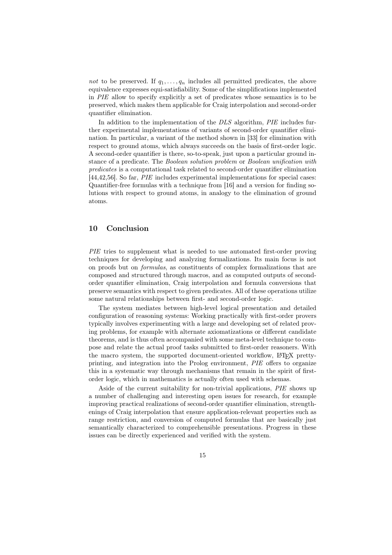not to be preserved. If  $q_1, \ldots, q_n$  includes all permitted predicates, the above equivalence expresses equi-satisfiability. Some of the simplifications implemented in PIE allow to specify explicitly a set of predicates whose semantics is to be preserved, which makes them applicable for Craig interpolation and second-order quantifier elimination.

In addition to the implementation of the DLS algorithm, PIE includes further experimental implementations of variants of second-order quantifier elimination. In particular, a variant of the method shown in [\[33\]](#page-16-5) for elimination with respect to ground atoms, which always succeeds on the basis of first-order logic. A second-order quantifier is there, so-to-speak, just upon a particular ground instance of a predicate. The Boolean solution problem or Boolean unification with predicates is a computational task related to second-order quantifier elimination [\[44](#page-16-23)[,42](#page-16-24)[,56\]](#page-17-11). So far, PIE includes experimental implementations for special cases: Quantifier-free formulas with a technique from [\[16\]](#page-15-20) and a version for finding solutions with respect to ground atoms, in analogy to the elimination of ground atoms.

### <span id="page-14-0"></span>10 Conclusion

PIE tries to supplement what is needed to use automated first-order proving techniques for developing and analyzing formalizations. Its main focus is not on proofs but on formulas, as constituents of complex formalizations that are composed and structured through macros, and as computed outputs of secondorder quantifier elimination, Craig interpolation and formula conversions that preserve semantics with respect to given predicates. All of these operations utilize some natural relationships between first- and second-order logic.

The system mediates between high-level logical presentation and detailed configuration of reasoning systems: Working practically with first-order provers typically involves experimenting with a large and developing set of related proving problems, for example with alternate axiomatizations or different candidate theorems, and is thus often accompanied with some meta-level technique to compose and relate the actual proof tasks submitted to first-order reasoners. With the macro system, the supported document-oriented workflow, LAT<sub>EX</sub> prettyprinting, and integration into the Prolog environment, PIE offers to organize this in a systematic way through mechanisms that remain in the spirit of firstorder logic, which in mathematics is actually often used with schemas.

Aside of the current suitability for non-trivial applications, PIE shows up a number of challenging and interesting open issues for research, for example improving practical realizations of second-order quantifier elimination, strengthenings of Craig interpolation that ensure application-relevant properties such as range restriction, and conversion of computed formulas that are basically just semantically characterized to comprehensible presentations. Progress in these issues can be directly experienced and verified with the system.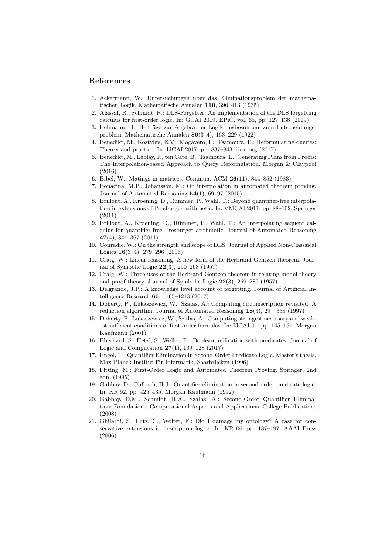### References

- <span id="page-15-1"></span>1. Ackermann, W.: Untersuchungen über das Eliminationsproblem der mathematischen Logik. Mathematische Annalen 110, 390–413 (1935)
- <span id="page-15-10"></span>2. Alassaf, R., Schmidt, R.: DLS-Forgetter: An implementation of the DLS forgetting calculus for first-order logic. In: GCAI 2019. EPiC, vol. 65, pp. 127–138 (2019)
- <span id="page-15-3"></span>3. Behmann, H.: Beiträge zur Algebra der Logik, insbesondere zum Entscheidungsproblem. Mathematische Annalen 86(3–4), 163–229 (1922)
- <span id="page-15-15"></span>4. Benedikt, M., Kostylev, E.V., Mogavero, F., Tsamoura, E.: Reformulating queries: Theory and practice. In: IJCAI 2017. pp. 837–843. ijcai.org (2017)
- <span id="page-15-14"></span>5. Benedikt, M., Leblay, J., ten Cate, B., Tsamoura, E.: Generating Plans from Proofs: The Interpolation-based Approach to Query Reformulation. Morgan & Claypool (2016)
- <span id="page-15-11"></span>6. Bibel, W.: Matings in matrices. Commun. ACM 26(11), 844–852 (1983)
- <span id="page-15-16"></span>7. Bonacina, M.P., Johansson, M.: On interpolation in automated theorem proving. Journal of Automated Reasoning  $54(1)$ , 69–97 (2015)
- <span id="page-15-19"></span>8. Brillout, A., Kroening, D., Rümmer, P., Wahl, T.: Beyond quantifier-free interpolation in extensions of Presburger arithmetic. In: VMCAI 2011. pp. 88–102. Springer (2011)
- <span id="page-15-18"></span>9. Brillout, A., Kroening, D., Rümmer, P., Wahl, T.: An interpolating sequent calculus for quantifier-free Presburger arithmetic. Journal of Automated Reasoning 47(4), 341–367 (2011)
- <span id="page-15-2"></span>10. Conradie, W.: On the strength and scope of DLS. Journal of Applied Non-Classsical Logics 16(3–4), 279–296 (2006)
- <span id="page-15-12"></span>11. Craig, W.: Linear reasoning. A new form of the Herbrand-Gentzen theorem. Journal of Symbolic Logic 22(3), 250–268 (1957)
- <span id="page-15-13"></span>12. Craig, W.: Three uses of the Herbrand-Gentzen theorem in relating model theory and proof theory. Journal of Symbolic Logic 22(3), 269–285 (1957)
- <span id="page-15-6"></span>13. Delgrande, J.P.: A knowledge level account of forgetting. Journal of Artificial Intelligence Research 60, 1165–1213 (2017)
- <span id="page-15-0"></span>14. Doherty, P., Łukaszewicz, W., Szałas, A.: Computing circumscription revisited: A reduction algorithm. Journal of Automated Reasoning 18(3), 297–338 (1997)
- <span id="page-15-5"></span>15. Doherty, P., Łukaszewicz, W., Szałas, A.: Computing strongest necessary and weakest sufficient conditions of first-order formulas. In: IJCAI-01. pp. 145–151. Morgan Kaufmann (2001)
- <span id="page-15-20"></span>16. Eberhard, S., Hetzl, S., Weller, D.: Boolean unification with predicates. Journal of Logic and Computation  $27(1)$ , 109–128 (2017)
- <span id="page-15-9"></span>17. Engel, T.: Quantifier Elimination in Second-Order Predicate Logic. Master's thesis, Max-Planck-Institut für Informatik, Saarbrücken (1996)
- <span id="page-15-17"></span>18. Fitting, M.: First-Order Logic and Automated Theorem Proving. Springer, 2nd edn. (1995)
- <span id="page-15-4"></span>19. Gabbay, D., Ohlbach, H.J.: Quantifier elimination in second-order predicate logic. In: KR'92. pp. 425–435. Morgan Kaufmann (1992)
- <span id="page-15-8"></span>20. Gabbay, D.M., Schmidt, R.A., Szałas, A.: Second-Order Quantifier Elimination: Foundations, Computational Aspects and Applications. College Publications (2008)
- <span id="page-15-7"></span>21. Ghilardi, S., Lutz, C., Wolter, F.: Did I damage my ontology? A case for conservative extensions in description logics. In: KR 06. pp. 187–197. AAAI Press (2006)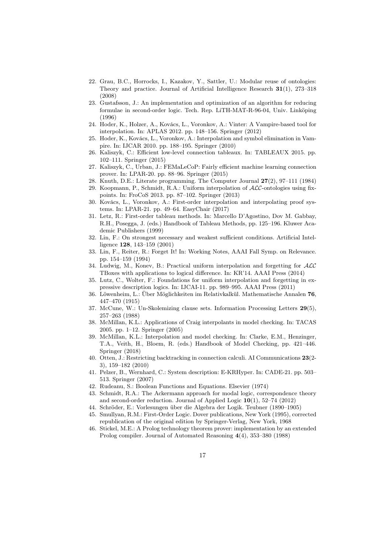- <span id="page-16-8"></span>22. Grau, B.C., Horrocks, I., Kazakov, Y., Sattler, U.: Modular reuse of ontologies: Theory and practice. Journal of Artificial Intelligence Research  $31(1)$ , 273–318 (2008)
- <span id="page-16-1"></span>23. Gustafsson, J.: An implementation and optimization of an algorithm for reducing formulae in second-order logic. Tech. Rep. LiTH-MAT-R-96-04, Univ. Linköping (1996)
- <span id="page-16-21"></span>24. Hoder, K., Holzer, A., Kovács, L., Voronkov, A.: Vinter: A Vampire-based tool for interpolation. In: APLAS 2012. pp. 148–156. Springer (2012)
- <span id="page-16-20"></span>25. Hoder, K., Kovács, L., Voronkov, A.: Interpolation and symbol elimination in Vampire. In: IJCAR 2010. pp. 188–195. Springer (2010)
- <span id="page-16-12"></span>26. Kaliszyk, C.: Efficient low-level connection tableaux. In: TABLEAUX 2015. pp. 102–111. Springer (2015)
- <span id="page-16-13"></span>27. Kaliszyk, C., Urban, J.: FEMaLeCoP: Fairly efficient machine learning connection prover. In: LPAR-20. pp. 88–96. Springer (2015)
- <span id="page-16-0"></span>28. Knuth, D.E.: Literate programming. The Computer Journal 27(2), 97–111 (1984)
- <span id="page-16-6"></span>29. Koopmann, P., Schmidt, R.A.: Uniform interpolation of  $\mathcal{ALC}$ -ontologies using fixpoints. In: FroCoS 2013. pp. 87–102. Springer (2013)
- <span id="page-16-16"></span>30. Kovács, L., Voronkov, A.: First-order interpolation and interpolating proof systems. In: LPAR-21. pp. 49–64. EasyChair (2017)
- <span id="page-16-10"></span>31. Letz, R.: First-order tableau methods. In: Marcello D'Agostino, Dov M. Gabbay, R.H., Posegga, J. (eds.) Handbook of Tableau Methods, pp. 125–196. Kluwer Academic Publishers (1999)
- <span id="page-16-4"></span>32. Lin, F.: On strongest necessary and weakest sufficient conditions. Artificial Intelligence 128, 143–159 (2001)
- <span id="page-16-5"></span>33. Lin, F., Reiter, R.: Forget It! In: Working Notes, AAAI Fall Symp. on Relevance. pp. 154–159 (1994)
- <span id="page-16-7"></span>34. Ludwig, M., Konev, B.: Practical uniform interpolation and forgetting for  $\mathcal{ALC}$ TBoxes with applications to logical difference. In: KR'14. AAAI Press (2014)
- <span id="page-16-9"></span>35. Lutz, C., Wolter, F.: Foundations for uniform interpolation and forgetting in expressive description logics. In: IJCAI-11. pp. 989–995. AAAI Press (2011)
- <span id="page-16-2"></span>36. Löwenheim, L.: Über Möglichkeiten im Relativkalkül. Mathematische Annalen 76, 447–470 (1915)
- <span id="page-16-22"></span>37. McCune, W.: Un-Skolemizing clause sets. Information Processing Letters 29(5), 257–263 (1988)
- <span id="page-16-19"></span>38. McMillan, K.L.: Applications of Craig interpolants in model checking. In: TACAS 2005. pp. 1–12. Springer (2005)
- <span id="page-16-15"></span>39. McMillan, K.L.: Interpolation and model checking. In: Clarke, E.M., Henzinger, T.A., Veith, H., Bloem, R. (eds.) Handbook of Model Checking, pp. 421–446. Springer (2018)
- <span id="page-16-11"></span>40. Otten, J.: Restricting backtracking in connection calculi. AI Communications 23(2- 3), 159–182 (2010)
- <span id="page-16-18"></span>41. Pelzer, B., Wernhard, C.: System description: E-KRHyper. In: CADE-21. pp. 503– 513. Springer (2007)
- <span id="page-16-24"></span>42. Rudeanu, S.: Boolean Functions and Equations. Elsevier (1974)
- <span id="page-16-3"></span>43. Schmidt, R.A.: The Ackermann approach for modal logic, correspondence theory and second-order reduction. Journal of Applied Logic 10(1), 52–74 (2012)
- <span id="page-16-23"></span>44. Schröder, E.: Vorlesungen über die Algebra der Logik. Teubner (1890–1905)
- <span id="page-16-17"></span>45. Smullyan, R.M.: First-Order Logic. Dover publications, New York (1995), corrected republication of the original edition by Springer-Verlag, New York, 1968
- <span id="page-16-14"></span>46. Stickel, M.E.: A Prolog technology theorem prover: implementation by an extended Prolog compiler. Journal of Automated Reasoning 4(4), 353–380 (1988)